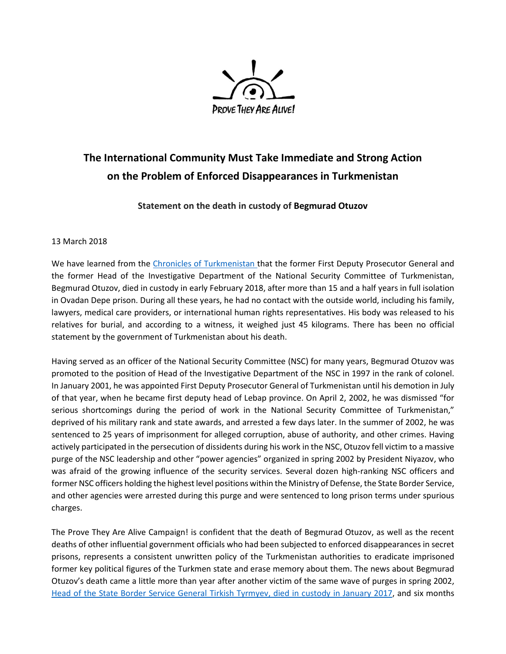

## **The International Community Must Take Immediate and Strong Action on the Problem of Enforced Disappearances in Turkmenistan**

## **Statement on the death in custody of Begmurad Otuzov**

## 13 March 2018

We have learned from the [Chronicles of Turkmenistan](https://www.hronikatm.com/2018/03/v-ovadan-depe-skonchalsya-begmurad-otuzov-odin-iz-spiska-lits-propavshih-v-turkmenskih-tyurmah/) that the former First Deputy Prosecutor General and the former Head of the Investigative Department of the National Security Committee of Turkmenistan, Begmurad Otuzov, died in custody in early February 2018, after more than 15 and a half years in full isolation in Ovadan Depe prison. During all these years, he had no contact with the outside world, including his family, lawyers, medical care providers, or international human rights representatives. His body was released to his relatives for burial, and according to a witness, it weighed just 45 kilograms. There has been no official statement by the government of Turkmenistan about his death.

Having served as an officer of the National Security Committee (NSC) for many years, Begmurad Otuzov was promoted to the position of Head of the Investigative Department of the NSC in 1997 in the rank of colonel. In January 2001, he was appointed First Deputy Prosecutor General of Turkmenistan until his demotion in July of that year, when he became first deputy head of Lebap province. On April 2, 2002, he was dismissed "for serious shortcomings during the period of work in the National Security Committee of Turkmenistan," deprived of his military rank and state awards, and arrested a few days later. In the summer of 2002, he was sentenced to 25 years of imprisonment for alleged corruption, abuse of authority, and other crimes. Having actively participated in the persecution of dissidents during his work in the NSC, Otuzov fell victim to a massive purge of the NSC leadership and other "power agencies" organized in spring 2002 by President Niyazov, who was afraid of the growing influence of the security services. Several dozen high-ranking NSC officers and former NSC officers holding the highest level positions within the Ministry of Defense, the State Border Service, and other agencies were arrested during this purge and were sentenced to long prison terms under spurious charges.

The Prove They Are Alive Campaign! is confident that the death of Begmurad Otuzov, as well as the recent deaths of other influential government officials who had been subjected to enforced disappearances in secret prisons, represents a consistent unwritten policy of the Turkmenistan authorities to eradicate imprisoned former key political figures of the Turkmen state and erase memory about them. The news about Begmurad Otuzov's death came a little more than year after another victim of the same wave of purges in spring 2002, [Head of the State Border Service General Tirkish Tyrmyev,](http://provetheyarealive.org/the-state-of-political-prisoners-in-turkmenistan-demands-immediate-action-by-the-international-community/) died in custody in January 2017, and six months